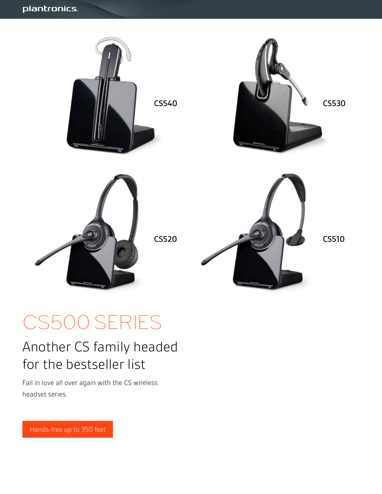

# CS500 SERIES

# Another CS family headed for the bestseller list

Fall in love all over again with the CS wireless headset series.

Hands-free up to 350 feet